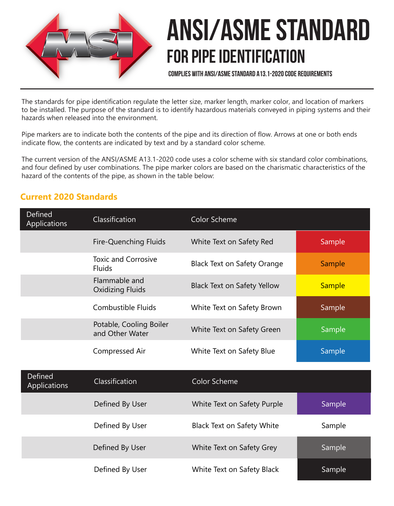

# ANSI/ASME Standard FOR PIPE IDENTIFICATION

Complies with ANSI/ASME Standard A13.1-2020 Code Requirements

The standards for pipe identification regulate the letter size, marker length, marker color, and location of markers to be installed. The purpose of the standard is to identify hazardous materials conveyed in piping systems and their hazards when released into the environment.

Pipe markers are to indicate both the contents of the pipe and its direction of flow. Arrows at one or both ends indicate flow, the contents are indicated by text and by a standard color scheme.

The current version of the ANSI/ASME A13.1-2020 code uses a color scheme with six standard color combinations, and four defined by user combinations. The pipe marker colors are based on the charismatic characteristics of the hazard of the contents of the pipe, as shown in the table below:

# **Current 2020 Standards**

| Defined<br><b>Applications</b> | Classification                              | Color Scheme                       |               |
|--------------------------------|---------------------------------------------|------------------------------------|---------------|
|                                | <b>Fire-Quenching Fluids</b>                | White Text on Safety Red           | Sample        |
|                                | <b>Toxic and Corrosive</b><br><b>Fluids</b> | <b>Black Text on Safety Orange</b> | Sample        |
|                                | Flammable and<br><b>Oxidizing Fluids</b>    | <b>Black Text on Safety Yellow</b> | <b>Sample</b> |
|                                | Combustible Fluids                          | White Text on Safety Brown         | Sample        |
|                                | Potable, Cooling Boiler<br>and Other Water  | White Text on Safety Green         | Sample        |
|                                | Compressed Air                              | White Text on Safety Blue          | Sample        |
| Defined<br>Applications        | Classification                              | <b>Color Scheme</b>                |               |
|                                | Defined By User                             | White Text on Safety Purple        | Sample        |
|                                | Defined By User                             | <b>Black Text on Safety White</b>  | Sample        |
|                                | Defined By User                             | White Text on Safety Grey          | Sample        |
|                                | Defined By User                             | White Text on Safety Black         | Sample        |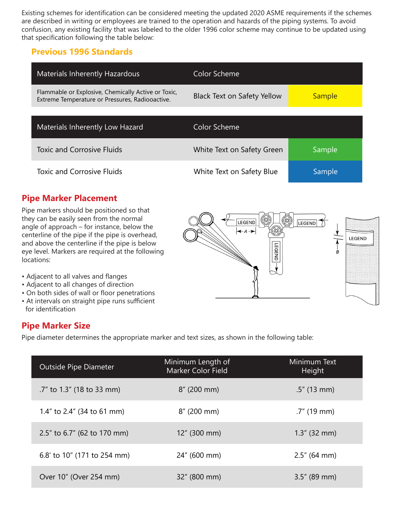Existing schemes for identification can be considered meeting the updated 2020 ASME requirements if the schemes are described in writing or employees are trained to the operation and hazards of the piping systems. To avoid confusion, any existing facility that was labeled to the older 1996 color scheme may continue to be updated using that specification following the table below:

### **Previous 1996 Standards**

| <b>Materials Inherently Hazardous</b>                                                                  | Color Scheme                |               |
|--------------------------------------------------------------------------------------------------------|-----------------------------|---------------|
| Flammable or Explosive, Chemically Active or Toxic,<br>Extreme Temperature or Pressures, Radiooactive. | Black Text on Safety Yellow | <b>Sample</b> |
|                                                                                                        |                             |               |
| Materials Inherently Low Hazard                                                                        | Color Scheme                |               |
| <b>Toxic and Corrosive Fluids</b>                                                                      | White Text on Safety Green  | Sample        |
| <b>Toxic and Corrosive Fluids</b>                                                                      | White Text on Safety Blue   | Sample        |

# **Pipe Marker Placement**

Pipe markers should be positioned so that they can be easily seen from the normal angle of approach – for instance, below the centerline of the pipe if the pipe is overhead, and above the centerline if the pipe is below eye level. Markers are required at the following locations:

- Adjacent to all valves and flanges
- Adjacent to all changes of direction
- On both sides of wall or floor penetrations
- At intervals on straight pipe runs sufficient for identification

### **Pipe Marker Size**

Pipe diameter determines the appropriate marker and text sizes, as shown in the following table:

| <b>Outside Pipe Diameter</b> | Minimum Length of<br>Marker Color Field | Minimum Text<br>Height |
|------------------------------|-----------------------------------------|------------------------|
| .7" to 1.3" (18 to 33 mm)    | $8''$ (200 mm)                          | $.5''$ (13 mm)         |
| 1.4" to 2.4" (34 to 61 mm)   | $8''$ (200 mm)                          | $.7"$ (19 mm)          |
| 2.5" to 6.7" (62 to 170 mm)  | $12''$ (300 mm)                         | $1.3''$ (32 mm)        |
| 6.8' to 10" (171 to 254 mm)  | 24" (600 mm)                            | $2.5''$ (64 mm)        |
| Over 10" (Over 254 mm)       | 32" (800 mm)                            | $3.5''$ (89 mm)        |